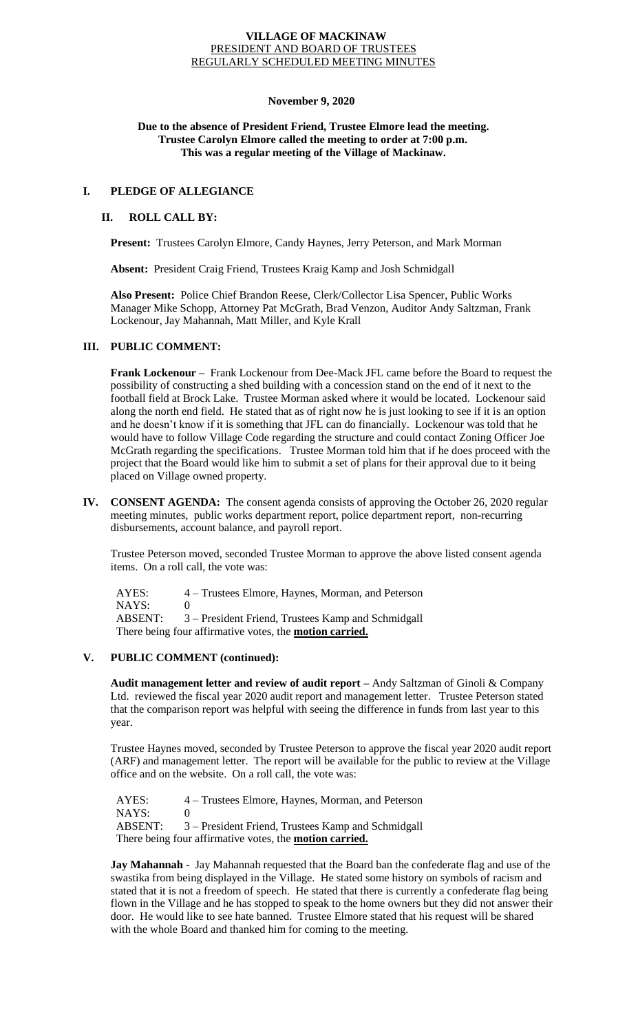#### **VILLAGE OF MACKINAW** PRESIDENT AND BOARD OF TRUSTEES REGULARLY SCHEDULED MEETING MINUTES

#### **November 9, 2020**

### **Due to the absence of President Friend, Trustee Elmore lead the meeting. Trustee Carolyn Elmore called the meeting to order at 7:00 p.m. This was a regular meeting of the Village of Mackinaw.**

## **I. PLEDGE OF ALLEGIANCE**

# **II. ROLL CALL BY:**

**Present:** Trustees Carolyn Elmore, Candy Haynes, Jerry Peterson, and Mark Morman

**Absent:** President Craig Friend, Trustees Kraig Kamp and Josh Schmidgall

**Also Present:** Police Chief Brandon Reese, Clerk/Collector Lisa Spencer, Public Works Manager Mike Schopp, Attorney Pat McGrath, Brad Venzon, Auditor Andy Saltzman, Frank Lockenour, Jay Mahannah, Matt Miller, and Kyle Krall

### **III. PUBLIC COMMENT:**

**Frank Lockenour –** Frank Lockenour from Dee-Mack JFL came before the Board to request the possibility of constructing a shed building with a concession stand on the end of it next to the football field at Brock Lake. Trustee Morman asked where it would be located. Lockenour said along the north end field. He stated that as of right now he is just looking to see if it is an option and he doesn't know if it is something that JFL can do financially. Lockenour was told that he would have to follow Village Code regarding the structure and could contact Zoning Officer Joe McGrath regarding the specifications. Trustee Morman told him that if he does proceed with the project that the Board would like him to submit a set of plans for their approval due to it being placed on Village owned property.

**IV. CONSENT AGENDA:** The consent agenda consists of approving the October 26, 2020 regular meeting minutes, public works department report, police department report, non-recurring disbursements, account balance, and payroll report.

Trustee Peterson moved, seconded Trustee Morman to approve the above listed consent agenda items. On a roll call, the vote was:

 AYES: 4 – Trustees Elmore, Haynes, Morman, and Peterson NAYS: 0 ABSENT: 3 – President Friend, Trustees Kamp and Schmidgall There being four affirmative votes, the **motion carried.**

### **V. PUBLIC COMMENT (continued):**

**Audit management letter and review of audit report –** Andy Saltzman of Ginoli & Company Ltd. reviewed the fiscal year 2020 audit report and management letter. Trustee Peterson stated that the comparison report was helpful with seeing the difference in funds from last year to this year.

Trustee Haynes moved, seconded by Trustee Peterson to approve the fiscal year 2020 audit report (ARF) and management letter. The report will be available for the public to review at the Village office and on the website. On a roll call, the vote was:

 AYES: 4 – Trustees Elmore, Haynes, Morman, and Peterson  $NAYS: 0$  ABSENT: 3 – President Friend, Trustees Kamp and Schmidgall There being four affirmative votes, the **motion carried.**

**Jay Mahannah -** Jay Mahannah requested that the Board ban the confederate flag and use of the swastika from being displayed in the Village. He stated some history on symbols of racism and stated that it is not a freedom of speech. He stated that there is currently a confederate flag being flown in the Village and he has stopped to speak to the home owners but they did not answer their door. He would like to see hate banned. Trustee Elmore stated that his request will be shared with the whole Board and thanked him for coming to the meeting.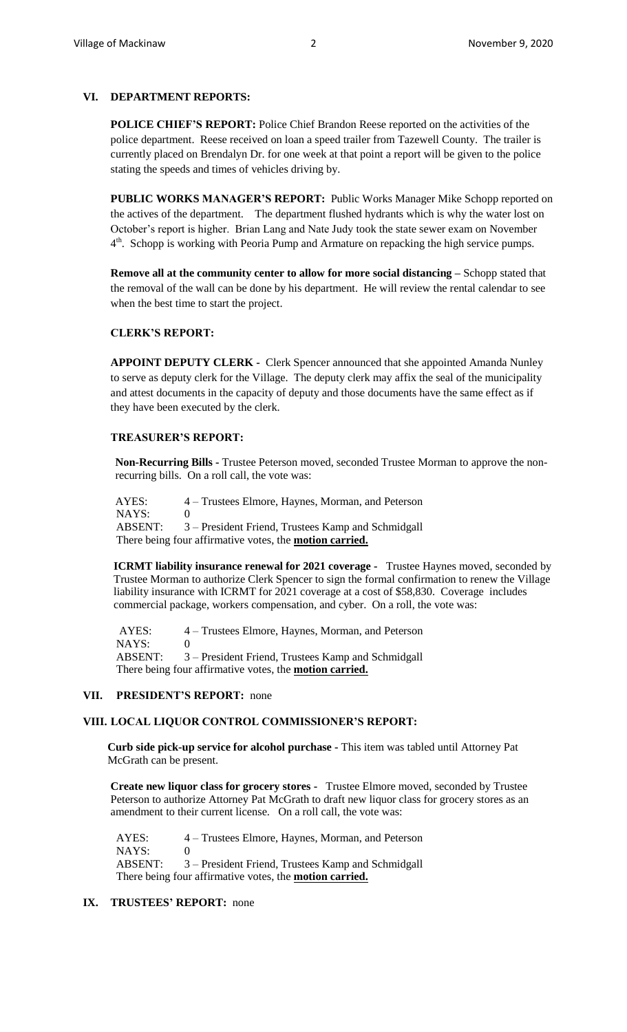# **VI. DEPARTMENT REPORTS:**

**POLICE CHIEF'S REPORT:** Police Chief Brandon Reese reported on the activities of the police department. Reese received on loan a speed trailer from Tazewell County. The trailer is currently placed on Brendalyn Dr. for one week at that point a report will be given to the police stating the speeds and times of vehicles driving by.

**PUBLIC WORKS MANAGER'S REPORT:** Public Works Manager Mike Schopp reported on the actives of the department. The department flushed hydrants which is why the water lost on October's report is higher. Brian Lang and Nate Judy took the state sewer exam on November  $4<sup>th</sup>$ . Schopp is working with Peoria Pump and Armature on repacking the high service pumps.

**Remove all at the community center to allow for more social distancing –** Schopp stated that the removal of the wall can be done by his department. He will review the rental calendar to see when the best time to start the project.

### **CLERK'S REPORT:**

**APPOINT DEPUTY CLERK -** Clerk Spencer announced that she appointed Amanda Nunley to serve as deputy clerk for the Village. The deputy clerk may affix the seal of the municipality and attest documents in the capacity of deputy and those documents have the same effect as if they have been executed by the clerk.

#### **TREASURER'S REPORT:**

**Non-Recurring Bills -** Trustee Peterson moved, seconded Trustee Morman to approve the nonrecurring bills. On a roll call, the vote was:

AYES: 4 – Trustees Elmore, Haynes, Morman, and Peterson NAYS: 0 ABSENT: 3 – President Friend, Trustees Kamp and Schmidgall There being four affirmative votes, the **motion carried.**

**ICRMT liability insurance renewal for 2021 coverage -** Trustee Haynes moved, seconded by Trustee Morman to authorize Clerk Spencer to sign the formal confirmation to renew the Village liability insurance with ICRMT for 2021 coverage at a cost of \$58,830. Coverage includes commercial package, workers compensation, and cyber. On a roll, the vote was:

AYES: 4 – Trustees Elmore, Haynes, Morman, and Peterson NAYS: 0 ABSENT: 3 – President Friend, Trustees Kamp and Schmidgall There being four affirmative votes, the **motion carried.**

#### **VII. PRESIDENT'S REPORT:** none

### **VIII. LOCAL LIQUOR CONTROL COMMISSIONER'S REPORT:**

**Curb side pick-up service for alcohol purchase -** This item was tabled until Attorney Pat McGrath can be present.

**Create new liquor class for grocery stores -** Trustee Elmore moved, seconded by Trustee Peterson to authorize Attorney Pat McGrath to draft new liquor class for grocery stores as an amendment to their current license. On a roll call, the vote was:

 AYES: 4 – Trustees Elmore, Haynes, Morman, and Peterson  $NAYS: 0$  ABSENT: 3 – President Friend, Trustees Kamp and Schmidgall There being four affirmative votes, the **motion carried.**

### **IX. TRUSTEES' REPORT:** none